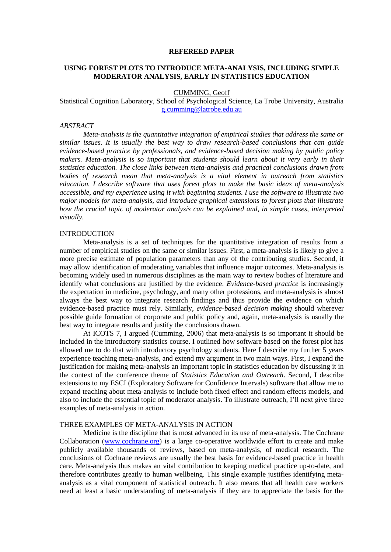#### **REFEREED PAPER**

# **USING FOREST PLOTS TO INTRODUCE META-ANALYSIS, INCLUDING SIMPLE MODERATOR ANALYSIS, EARLY IN STATISTICS EDUCATION**

CUMMING, Geoff

Statistical Cognition Laboratory, School of Psychological Science, La Trobe University, Australia [g.cumming@latrobe.edu.au](mailto:g.cumming@latrobe.edu.au)

## *ABSTRACT*

*Meta-analysis is the quantitative integration of empirical studies that address the same or similar issues. It is usually the best way to draw research-based conclusions that can guide evidence-based practice by professionals, and evidence-based decision making by public policy makers. Meta-analysis is so important that students should learn about it very early in their statistics education. The close links between meta-analysis and practical conclusions drawn from bodies of research mean that meta-analysis is a vital element in outreach from statistics education. I describe software that uses forest plots to make the basic ideas of meta-analysis accessible, and my experience using it with beginning students. I use the software to illustrate two major models for meta-analysis, and introduce graphical extensions to forest plots that illustrate how the crucial topic of moderator analysis can be explained and, in simple cases, interpreted visually.*

### INTRODUCTION

Meta-analysis is a set of techniques for the quantitative integration of results from a number of empirical studies on the same or similar issues. First, a meta-analysis is likely to give a more precise estimate of population parameters than any of the contributing studies. Second, it may allow identification of moderating variables that influence major outcomes. Meta-analysis is becoming widely used in numerous disciplines as the main way to review bodies of literature and identify what conclusions are justified by the evidence. *Evidence-based practice* is increasingly the expectation in medicine, psychology, and many other professions, and meta-analysis is almost always the best way to integrate research findings and thus provide the evidence on which evidence-based practice must rely. Similarly, *evidence-based decision making* should wherever possible guide formation of corporate and public policy and, again, meta-analysis is usually the best way to integrate results and justify the conclusions drawn.

At ICOTS 7, I argued (Cumming, 2006) that meta-analysis is so important it should be included in the introductory statistics course. I outlined how software based on the forest plot has allowed me to do that with introductory psychology students. Here I describe my further 5 years experience teaching meta-analysis, and extend my argument in two main ways. First, I expand the justification for making meta-analysis an important topic in statistics education by discussing it in the context of the conference theme of *Statistics Education and Outreach*. Second, I describe extensions to my ESCI (Exploratory Software for Confidence Intervals) software that allow me to expand teaching about meta-analysis to include both fixed effect and random effects models, and also to include the essential topic of moderator analysis. To illustrate outreach, I"ll next give three examples of meta-analysis in action.

#### THREE EXAMPLES OF META-ANALYSIS IN ACTION

Medicine is the discipline that is most advanced in its use of meta-analysis. The Cochrane Collaboration [\(www.cochrane.org\)](http://www.cochrane.org/) is a large co-operative worldwide effort to create and make publicly available thousands of reviews, based on meta-analysis, of medical research. The conclusions of Cochrane reviews are usually the best basis for evidence-based practice in health care. Meta-analysis thus makes an vital contribution to keeping medical practice up-to-date, and therefore contributes greatly to human wellbeing. This single example justifies identifying metaanalysis as a vital component of statistical outreach. It also means that all health care workers need at least a basic understanding of meta-analysis if they are to appreciate the basis for the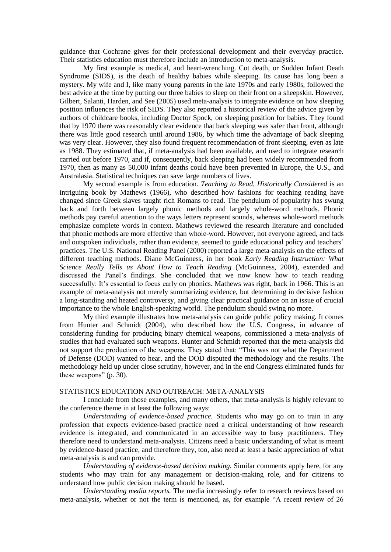guidance that Cochrane gives for their professional development and their everyday practice. Their statistics education must therefore include an introduction to meta-analysis.

My first example is medical, and heart-wrenching. Cot death, or Sudden Infant Death Syndrome (SIDS), is the death of healthy babies while sleeping. Its cause has long been a mystery. My wife and I, like many young parents in the late 1970s and early 1980s, followed the best advice at the time by putting our three babies to sleep on their front on a sheepskin. However, Gilbert, Salanti, Harden, and See (2005) used meta-analysis to integrate evidence on how sleeping position influences the risk of SIDS. They also reported a historical review of the advice given by authors of childcare books, including Doctor Spock, on sleeping position for babies. They found that by 1970 there was reasonably clear evidence that back sleeping was safer than front, although there was little good research until around 1986, by which time the advantage of back sleeping was very clear. However, they also found frequent recommendation of front sleeping, even as late as 1988. They estimated that, if meta-analysis had been available, and used to integrate research carried out before 1970, and if, consequently, back sleeping had been widely recommended from 1970, then as many as 50,000 infant deaths could have been prevented in Europe, the U.S., and Australasia. Statistical techniques can save large numbers of lives.

My second example is from education. *Teaching to Read, Historically Considered* is an intriguing book by Mathews (1966), who described how fashions for teaching reading have changed since Greek slaves taught rich Romans to read. The pendulum of popularity has swung back and forth between largely phonic methods and largely whole-word methods. Phonic methods pay careful attention to the ways letters represent sounds, whereas whole-word methods emphasize complete words in context. Mathews reviewed the research literature and concluded that phonic methods are more effective than whole-word. However, not everyone agreed, and fads and outspoken individuals, rather than evidence, seemed to guide educational policy and teachers' practices. The U.S. National Reading Panel (2000) reported a large meta-analysis on the effects of different teaching methods. Diane McGuinness, in her book *Early Reading Instruction: What Science Really Tells us About How to Teach Reading* (McGuinness, 2004), extended and discussed the Panel"s findings. She concluded that we now know how to teach reading successfully: It's essential to focus early on phonics. Mathews was right, back in 1966. This is an example of meta-analysis not merely summarizing evidence, but determining in decisive fashion a long-standing and heated controversy, and giving clear practical guidance on an issue of crucial importance to the whole English-speaking world. The pendulum should swing no more.

My third example illustrates how meta-analysis can guide public policy making. It comes from Hunter and Schmidt (2004), who described how the U.S. Congress, in advance of considering funding for producing binary chemical weapons, commissioned a meta-analysis of studies that had evaluated such weapons. Hunter and Schmidt reported that the meta-analysis did not support the production of the weapons. They stated that: "This was not what the Department of Defense (DOD) wanted to hear, and the DOD disputed the methodology and the results. The methodology held up under close scrutiny, however, and in the end Congress eliminated funds for these weapons" (p. 30).

## STATISTICS EDUCATION AND OUTREACH: META-ANALYSIS

I conclude from those examples, and many others, that meta-analysis is highly relevant to the conference theme in at least the following ways:

*Understanding of evidence-based practice.* Students who may go on to train in any profession that expects evidence-based practice need a critical understanding of how research evidence is integrated, and communicated in an accessible way to busy practitioners. They therefore need to understand meta-analysis. Citizens need a basic understanding of what is meant by evidence-based practice, and therefore they, too, also need at least a basic appreciation of what meta-analysis is and can provide.

*Understanding of evidence-based decision making.* Similar comments apply here, for any students who may train for any management or decision-making role, and for citizens to understand how public decision making should be based.

*Understanding media reports.* The media increasingly refer to research reviews based on meta-analysis, whether or not the term is mentioned, as, for example "A recent review of 26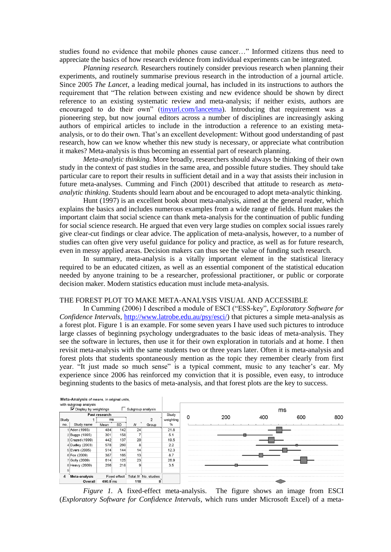studies found no evidence that mobile phones cause cancer…" Informed citizens thus need to appreciate the basics of how research evidence from individual experiments can be integrated.

*Planning research.* Researchers routinely consider previous research when planning their experiments, and routinely summarise previous research in the introduction of a journal article. Since 2005 *The Lancet*, a leading medical journal, has included in its instructions to authors the requirement that "The relation between existing and new evidence should be shown by direct reference to an existing systematic review and meta-analysis; if neither exists, authors are encouraged to do their own" [\(tinyurl.com/lancetma\)](http://tinyurl.com/lancetma). Introducing that requirement was a pioneering step, but now journal editors across a number of disciplines are increasingly asking authors of empirical articles to include in the introduction a reference to an existing metaanalysis, or to do their own. That"s an excellent development: Without good understanding of past research, how can we know whether this new study is necessary, or appreciate what contribution it makes? Meta-analysis is thus becoming an essential part of research planning.

*Meta-analytic thinking.* More broadly, researchers should always be thinking of their own study in the context of past studies in the same area, and possible future studies. They should take particular care to report their results in sufficient detail and in a way that assists their inclusion in future meta-analyses. Cumming and Finch (2001) described that attitude to research as *metaanalytic thinking*. Students should learn about and be encouraged to adopt meta-analytic thinking.

Hunt (1997) is an excellent book about meta-analysis, aimed at the general reader, which explains the basics and includes numerous examples from a wide range of fields. Hunt makes the important claim that social science can thank meta-analysis for the continuation of public funding for social science research. He argued that even very large studies on complex social issues rarely give clear-cut findings or clear advice. The application of meta-analysis, however, to a number of studies can often give very useful guidance for policy and practice, as well as for future research, even in messy applied areas. Decision makers can thus see the value of funding such research.

In summary, meta-analysis is a vitally important element in the statistical literacy required to be an educated citizen, as well as an essential component of the statistical education needed by anyone training to be a researcher, professional practitioner, or public or corporate decision maker. Modern statistics education must include meta-analysis.

### THE FOREST PLOT TO MAKE META-ANALYSIS VISUAL AND ACCESSIBLE

In Cumming (2006) I described a module of ESCI ("ESS-key", *Exploratory Software for Confidence Intervals*, [http://www.latrobe.edu.au/psy/esci/\)](http://www.latrobe.edu.au/psy/esci/) that pictures a simple meta-analysis as a forest plot. Figure 1 is an example. For some seven years I have used such pictures to introduce large classes of beginning psychology undergraduates to the basic ideas of meta-analysis. They see the software in lectures, then use it for their own exploration in tutorials and at home. I then revisit meta-analysis with the same students two or three years later. Often it is meta-analysis and forest plots that students spontaneously mention as the topic they remember clearly from first year. "It just made so much sense" is a typical comment, music to any teacher"s ear. My experience since 2006 has reinforced my conviction that it is possible, even easy, to introduce beginning students to the basics of meta-analysis, and that forest plots are the key to success.



*Figure 1.* A fixed-effect meta-analysis. The figure shows an image from ESCI (*Exploratory Software for Confidence Intervals*, which runs under Microsoft Excel) of a meta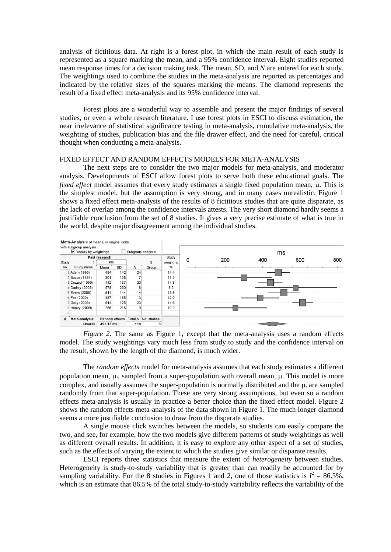analysis of fictitious data. At right is a forest plot, in which the main result of each study is represented as a square marking the mean, and a 95% confidence interval. Eight studies reported mean response times for a decision making task. The mean, SD, and *N* are entered for each study. The weightings used to combine the studies in the meta-analysis are reported as percentages and indicated by the relative sizes of the squares marking the means. The diamond represents the result of a fixed effect meta-analysis and its 95% confidence interval.

Forest plots are a wonderful way to assemble and present the major findings of several studies, or even a whole research literature. I use forest plots in ESCI to discuss estimation, the near irrelevance of statistical significance testing in meta-analysis, cumulative meta-analysis, the weighting of studies, publication bias and the file drawer effect, and the need for careful, critical thought when conducting a meta-analysis.

## FIXED EFFECT AND RANDOM EFFECTS MODELS FOR META-ANALYSIS

The next steps are to consider the two major models for meta-analysis, and moderator analysis. Developments of ESCI allow forest plots to serve both these educational goals. The *fixed effect* model assumes that every study estimates a single fixed population mean,  $\mu$ . This is the simplest model, but the assumption is very strong, and in many cases unrealistic. Figure 1 shows a fixed effect meta-analysis of the results of 8 fictitious studies that are quite disparate, as the lack of overlap among the confidence intervals attests. The very short diamond hardly seems a justifiable conclusion from the set of 8 studies. It gives a very precise estimate of what is true in the world, despite major disagreement among the individual studies.



*Figure 2.* The same as Figure 1, except that the meta-analysis uses a random effects model. The study weightings vary much less from study to study and the confidence interval on the result, shown by the length of the diamond, is much wider.

The *random effects* model for meta-analysis assumes that each study estimates a different population mean,  $\mu_i$ , sampled from a super-population with overall mean,  $\mu$ . This model is more complex, and usually assumes the super-population is normally distributed and the  $\mu_i$  are sampled randomly from that super-population. These are very strong assumptions, but even so a random effects meta-analysis is usually in practice a better choice than the fixed effect model. Figure 2 shows the random effects meta-analysis of the data shown in Figure 1. The much longer diamond seems a more justifiable conclusion to draw from the disparate studies.

A single mouse click switches between the models, so students can easily compare the two, and see, for example, how the two models give different patterns of study weightings as well as different overall results. In addition, it is easy to explore any other aspect of a set of studies, such as the effects of varying the extent to which the studies give similar or disparate results.

ESCI reports three statistics that measure the extent of *heterogeneity* between studies. Heterogeneity is study-to-study variability that is greater than can readily be accounted for by sampling variability. For the 8 studies in Figures 1 and 2, one of those statistics is  $I^2 = 86.5\%$ , which is an estimate that 86.5% of the total study-to-study variability reflects the variability of the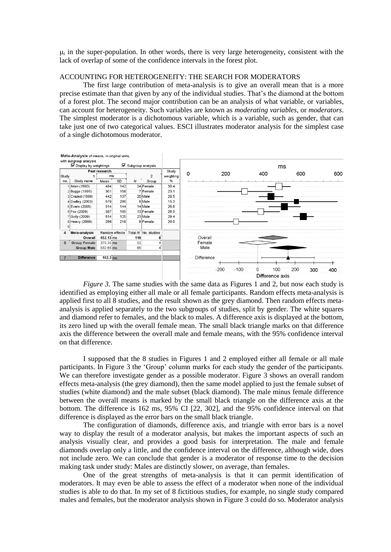$\mu_i$  in the super-population. In other words, there is very large heterogeneity, consistent with the lack of overlap of some of the confidence intervals in the forest plot.

# ACCOUNTING FOR HETEROGENEITY: THE SEARCH FOR MODERATORS

The first large contribution of meta-analysis is to give an overall mean that is a more precise estimate than that given by any of the individual studies. That"s the diamond at the bottom of a forest plot. The second major contribution can be an analysis of what variable, or variables, can account for heterogeneity. Such variables are known as *moderating variables*, or *moderators*. The simplest moderator is a dichotomous variable, which is a variable, such as gender, that can take just one of two categorical values. ESCI illustrates moderator analysis for the simplest case of a single dichotomous moderator.



*Figure 3.* The same studies with the same data as Figures 1 and 2, but now each study is identified as employing either all male or all female participants. Random effects meta-analysis is applied first to all 8 studies, and the result shown as the grey diamond. Then random effects metaanalysis is applied separately to the two subgroups of studies, split by gender. The white squares and diamond refer to females, and the black to males. A difference axis is displayed at the bottom, its zero lined up with the overall female mean. The small black triangle marks on that difference axis the difference between the overall male and female means, with the 95% confidence interval on that difference.

I supposed that the 8 studies in Figures 1 and 2 employed either all female or all male participants. In Figure 3 the "Group" column marks for each study the gender of the participants. We can therefore investigate gender as a possible moderator. Figure 3 shows an overall random effects meta-analysis (the grey diamond), then the same model applied to just the female subset of studies (white diamond) and the male subset (black diamond). The male minus female difference between the overall means is marked by the small black triangle on the difference axis at the bottom. The difference is 162 ms, 95% CI [22, 302], and the 95% confidence interval on that difference is displayed as the error bars on the small black triangle.

The configuration of diamonds, difference axis, and triangle with error bars is a novel way to display the result of a moderator analysis, but makes the important aspects of such an analysis visually clear, and provides a good basis for interpretation. The male and female diamonds overlap only a little, and the confidence interval on the difference, although wide, does not include zero. We can conclude that gender is a moderator of response time to the decision making task under study: Males are distinctly slower, on average, than females.

One of the great strengths of meta-analysis is that it can permit identification of moderators. It may even be able to assess the effect of a moderator when none of the individual studies is able to do that. In my set of 8 fictitious studies, for example, no single study compared males and females, but the moderator analysis shown in Figure 3 could do so. Moderator analysis